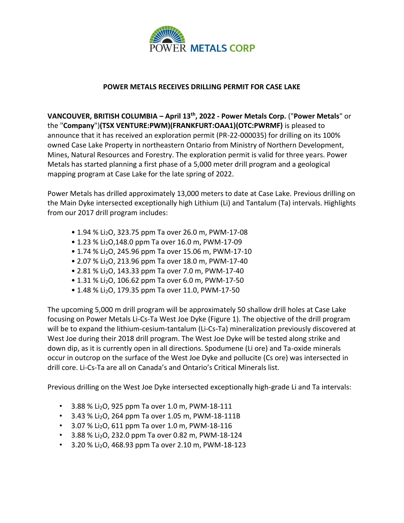

## **POWER METALS RECEIVES DRILLING PERMIT FOR CASE LAKE**

**VANCOUVER, BRITISH COLUMBIA – April 13 th, 2022 - Power Metals Corp.** ("**Power Metals**" or the "**Company**")**(TSX VENTURE:PWM)(FRANKFURT:OAA1)(OTC:PWRMF)** is pleased to announce that it has received an exploration permit (PR-22-000035) for drilling on its 100% owned Case Lake Property in northeastern Ontario from Ministry of Northern Development, Mines, Natural Resources and Forestry. The exploration permit is valid for three years. Power Metals has started planning a first phase of a 5,000 meter drill program and a geological mapping program at Case Lake for the late spring of 2022.

Power Metals has drilled approximately 13,000 meters to date at Case Lake. Previous drilling on the Main Dyke intersected exceptionally high Lithium (Li) and Tantalum (Ta) intervals. Highlights from our 2017 drill program includes:

- 1.94 % Li2O, 323.75 ppm Ta over 26.0 m, PWM-17-08
- 1.23 % Li<sub>2</sub>O,148.0 ppm Ta over 16.0 m, PWM-17-09
- 1.74 % Li2O, 245.96 ppm Ta over 15.06 m, PWM-17-10
- 2.07 % Li<sub>2</sub>O, 213.96 ppm Ta over 18.0 m, PWM-17-40
- 2.81 % Li<sub>2</sub>O, 143.33 ppm Ta over 7.0 m, PWM-17-40
- 1.31 % Li<sub>2</sub>O, 106.62 ppm Ta over 6.0 m, PWM-17-50
- 1.48 % Li<sub>2</sub>O, 179.35 ppm Ta over 11.0, PWM-17-50

The upcoming 5,000 m drill program will be approximately 50 shallow drill holes at Case Lake focusing on Power Metals Li-Cs-Ta West Joe Dyke (Figure 1). The objective of the drill program will be to expand the lithium-cesium-tantalum (Li-Cs-Ta) mineralization previously discovered at West Joe during their 2018 drill program. The West Joe Dyke will be tested along strike and down dip, as it is currently open in all directions. Spodumene (Li ore) and Ta-oxide minerals occur in outcrop on the surface of the West Joe Dyke and pollucite (Cs ore) was intersected in drill core. Li-Cs-Ta are all on Canada's and Ontario's Critical Minerals list.

Previous drilling on the West Joe Dyke intersected exceptionally high-grade Li and Ta intervals:

- $\cdot$  3.88 % Li<sub>2</sub>O, 925 ppm Ta over 1.0 m, PWM-18-111
- $\cdot$  3.43 % Li<sub>2</sub>O, 264 ppm Ta over 1.05 m, PWM-18-111B
- $\cdot$  3.07 % Li<sub>2</sub>O, 611 ppm Ta over 1.0 m, PWM-18-116
- $\cdot$  3.88 % Li<sub>2</sub>O, 232.0 ppm Ta over 0.82 m, PWM-18-124
- 3.20 % Li<sub>2</sub>O, 468.93 ppm Ta over 2.10 m, PWM-18-123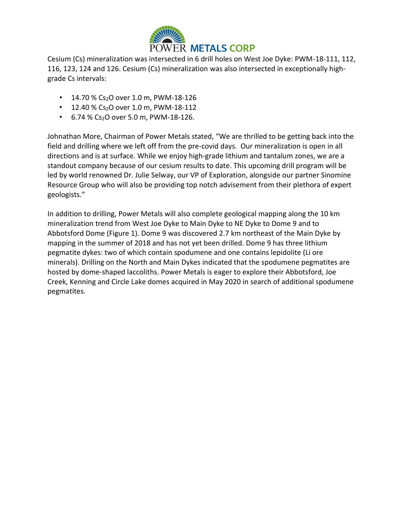

Cesium (Cs) mineralization was intersected in 6 drill holes on West Joe Dyke: PWM-18-111, 112, 116, 123, 124 and 126. Cesium (Cs) mineralization was also intersected in exceptionally highgrade Cs intervals:

- 14.70 % Cs<sub>2</sub>O over 1.0 m, PWM-18-126
- $\cdot$  12.40 % Cs<sub>2</sub>O over 1.0 m, PWM-18-112
- $\cdot$  6.74 % Cs<sub>2</sub>O over 5.0 m, PWM-18-126.

Johnathan More, Chairman of Power Metals stated, "We are thrilled to be getting back into the field and drilling where we left off from the pre-covid days. Our mineralization is open in all directions and is at surface. While we enjoy high-grade lithium and tantalum zones, we are a standout company because of our cesium results to date. This upcoming drill program will be led by world renowned Dr. Julie Selway, our VP of Exploration, alongside our partner Sinomine Resource Group who will also be providing top notch advisement from their plethora of expert geologists."

In addition to drilling, Power Metals will also complete geological mapping along the 10 km mineralization trend from West Joe Dyke to Main Dyke to NE Dyke to Dome 9 and to Abbotsford Dome (Figure 1). Dome 9 was discovered 2.7 km northeast of the Main Dyke by mapping in the summer of 2018 and has not yet been drilled. Dome 9 has three lithium pegmatite dykes: two of which contain spodumene and one contains lepidolite (Li ore minerals). Drilling on the North and Main Dykes indicated that the spodumene pegmatites are hosted by dome-shaped laccoliths. Power Metals is eager to explore their Abbotsford, Joe Creek, Kenning and Circle Lake domes acquired in May 2020 in search of additional spodumene pegmatites.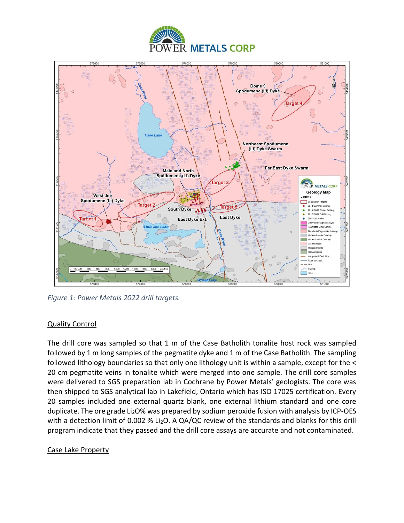



*Figure 1: Power Metals 2022 drill targets.* 

# Quality Control

The drill core was sampled so that 1 m of the Case Batholith tonalite host rock was sampled followed by 1 m long samples of the pegmatite dyke and 1 m of the Case Batholith. The sampling followed lithology boundaries so that only one lithology unit is within a sample, except for the < 20 cm pegmatite veins in tonalite which were merged into one sample. The drill core samples were delivered to SGS preparation lab in Cochrane by Power Metals' geologists. The core was then shipped to SGS analytical lab in Lakefield, Ontario which has ISO 17025 certification. Every 20 samples included one external quartz blank, one external lithium standard and one core duplicate. The ore grade Li<sub>2</sub>O% was prepared by sodium peroxide fusion with analysis by ICP-OES with a detection limit of 0.002 % Li<sub>2</sub>O. A QA/QC review of the standards and blanks for this drill program indicate that they passed and the drill core assays are accurate and not contaminated.

## Case Lake Property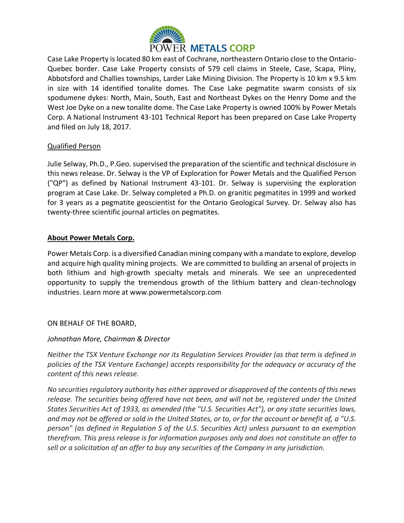

Case Lake Property is located 80 km east of Cochrane, northeastern Ontario close to the Ontario-Quebec border. Case Lake Property consists of 579 cell claims in Steele, Case, Scapa, Pliny, Abbotsford and Challies townships, Larder Lake Mining Division. The Property is 10 km x 9.5 km in size with 14 identified tonalite domes. The Case Lake pegmatite swarm consists of six spodumene dykes: North, Main, South, East and Northeast Dykes on the Henry Dome and the West Joe Dyke on a new tonalite dome. The Case Lake Property is owned 100% by Power Metals Corp. A National Instrument 43-101 Technical Report has been prepared on Case Lake Property and filed on July 18, 2017.

## Qualified Person

Julie Selway, Ph.D., P.Geo. supervised the preparation of the scientific and technical disclosure in this news release. Dr. Selway is the VP of Exploration for Power Metals and the Qualified Person ("QP") as defined by National Instrument 43-101. Dr. Selway is supervising the exploration program at Case Lake. Dr. Selway completed a Ph.D. on granitic pegmatites in 1999 and worked for 3 years as a pegmatite geoscientist for the Ontario Geological Survey. Dr. Selway also has twenty-three scientific journal articles on pegmatites.

## **About Power Metals Corp.**

Power Metals Corp. is a diversified Canadian mining company with a mandate to explore, develop and acquire high quality mining projects. We are committed to building an arsenal of projects in both lithium and high-growth specialty metals and minerals. We see an unprecedented opportunity to supply the tremendous growth of the lithium battery and clean-technology industries. Learn more at www.powermetalscorp.com

## ON BEHALF OF THE BOARD,

## *Johnathan More, Chairman & Director*

*Neither the TSX Venture Exchange nor its Regulation Services Provider (as that term is defined in policies of the TSX Venture Exchange) accepts responsibility for the adequacy or accuracy of the content of this news release.*

*No securities regulatory authority has either approved or disapproved of the contents of this news release. The securities being offered have not been, and will not be, registered under the United States Securities Act of 1933, as amended (the "U.S. Securities Act"), or any state securities laws, and may not be offered or sold in the United States, or to, or for the account or benefit of, a "U.S. person" (as defined in Regulation S of the U.S. Securities Act) unless pursuant to an exemption therefrom. This press release is for information purposes only and does not constitute an offer to sell or a solicitation of an offer to buy any securities of the Company in any jurisdiction.*